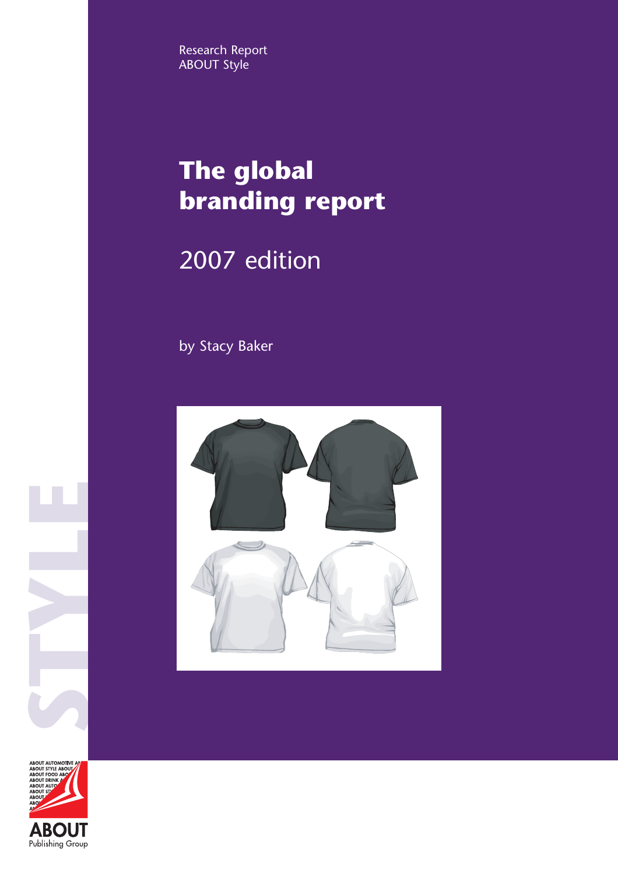Research Report ABOUT Style

# **The global branding report**

## 2007 edition

by Stacy Baker





**STYLE**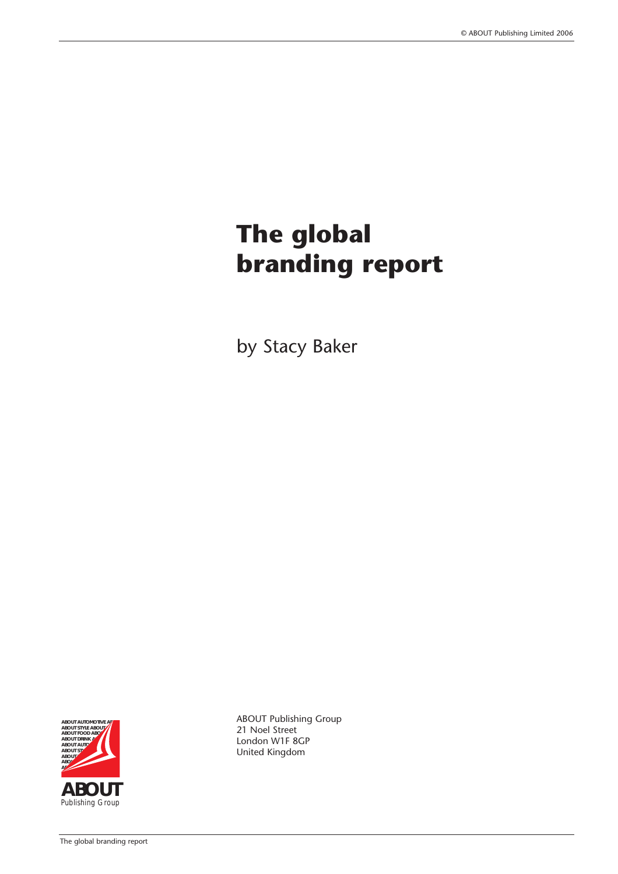# **The global branding report**

by Stacy Baker



ABOUT Publishing Group 21 Noel Street London W1F 8GP United Kingdom

The global branding report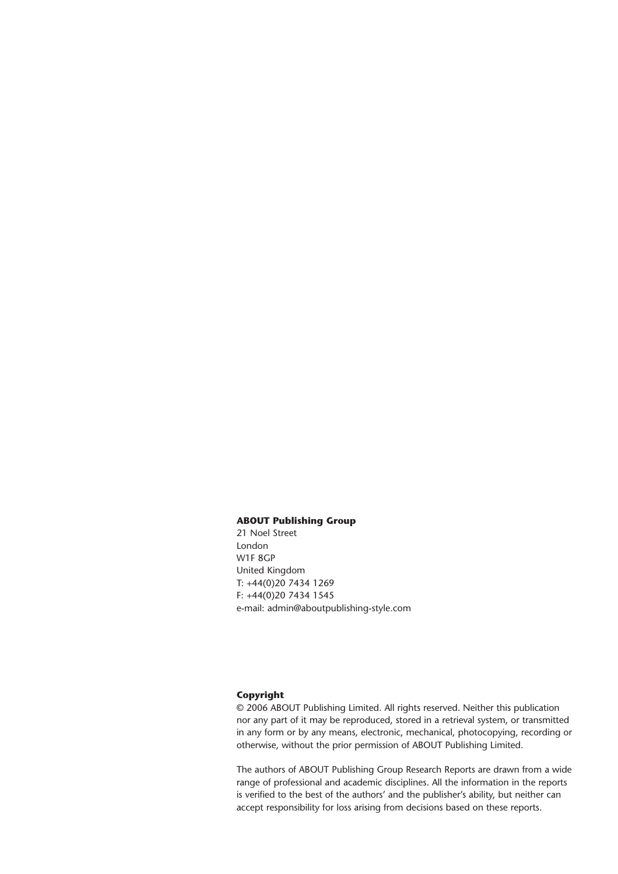#### **ABOUT Publishing Group**

21 Noel Street London W1F 8GP United Kingdom T: +44(0)20 7434 1269 F: +44(0)20 7434 1545 e-mail: admin@aboutpublishing-style.com

#### **Copyright**

© 2006 ABOUT Publishing Limited. All rights reserved. Neither this publication nor any part of it may be reproduced, stored in a retrieval system, or transmitted in any form or by any means, electronic, mechanical, photocopying, recording or otherwise, without the prior permission of ABOUT Publishing Limited.

The authors of ABOUT Publishing Group Research Reports are drawn from a wide range of professional and academic disciplines. All the information in the reports is verified to the best of the authors' and the publisher's ability, but neither can accept responsibility for loss arising from decisions based on these reports.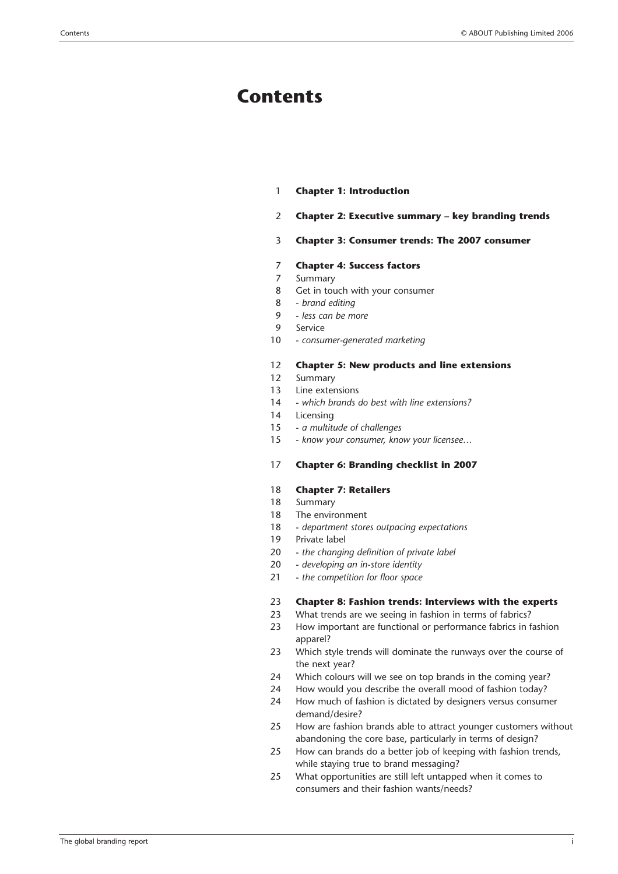### **Contents**

- 1 **Chapter 1: Introduction**
- 2 **Chapter 2: Executive summary key branding trends**
- 3 **Chapter 3: Consumer trends: The 2007 consumer**

#### 7 **Chapter 4: Success factors**

- 7 Summary
- 8 Get in touch with your consumer
- 8 *brand editing*
- 9 *less can be more*
- 9 Service
- 10 *consumer-generated marketing*

#### 12 **Chapter 5: New products and line extensions**

- 12 Summary
- 13 Line extensions
- 14 *which brands do best with line extensions?*
- 14 Licensing
- 15 *a multitude of challenges*
- 15 *know your consumer, know your licensee…*

#### 17 **Chapter 6: Branding checklist in 2007**

#### 18 **Chapter 7: Retailers**

- 18 Summary
- 18 The environment
- 18 *department stores outpacing expectations*
- 19 Private label
- 20 *the changing definition of private label*
- 20 *developing an in-store identity*
- 21 *the competition for floor space*

#### 23 **Chapter 8: Fashion trends: Interviews with the experts**

- 23 What trends are we seeing in fashion in terms of fabrics?
- 23 How important are functional or performance fabrics in fashion apparel?
- 23 Which style trends will dominate the runways over the course of the next year?
- 24 Which colours will we see on top brands in the coming year?
- 24 How would you describe the overall mood of fashion today?
- 24 How much of fashion is dictated by designers versus consumer demand/desire?
- 25 How are fashion brands able to attract younger customers without abandoning the core base, particularly in terms of design?
- 25 How can brands do a better job of keeping with fashion trends, while staying true to brand messaging?
- 25 What opportunities are still left untapped when it comes to consumers and their fashion wants/needs?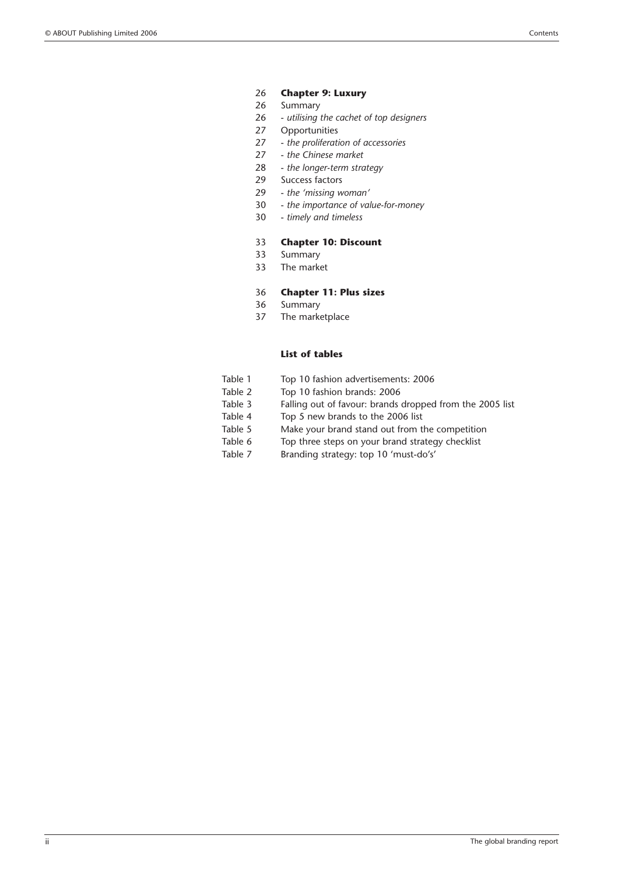- 26 **Chapter 9: Luxury**
- 26 Summary
- 26 *utilising the cachet of top designers*
- 27 Opportunities
- 27 *the proliferation of accessories*
- 27 *the Chinese market*
- 28 *the longer-term strategy*
- 29 Success factors
- 29 *the 'missing woman'*
- 30 *the importance of value-for-money*
- 30 *timely and timeless*

#### 33 **Chapter 10: Discount**

- 33 Summary
- 33 The market

#### 36 **Chapter 11: Plus sizes**

- 36 Summary
- 37 The marketplace

#### **List of tables**

- Table 1 Top 10 fashion advertisements: 2006
- Table 2 Top 10 fashion brands: 2006<br>Table 3 Falling out of favour: brands
- Falling out of favour: brands dropped from the 2005 list
- Table 4 Top 5 new brands to the 2006 list
- Table 5 Make your brand stand out from the competition
- Table 6 Top three steps on your brand strategy checklist
- Table 7 Branding strategy: top 10 'must-do's'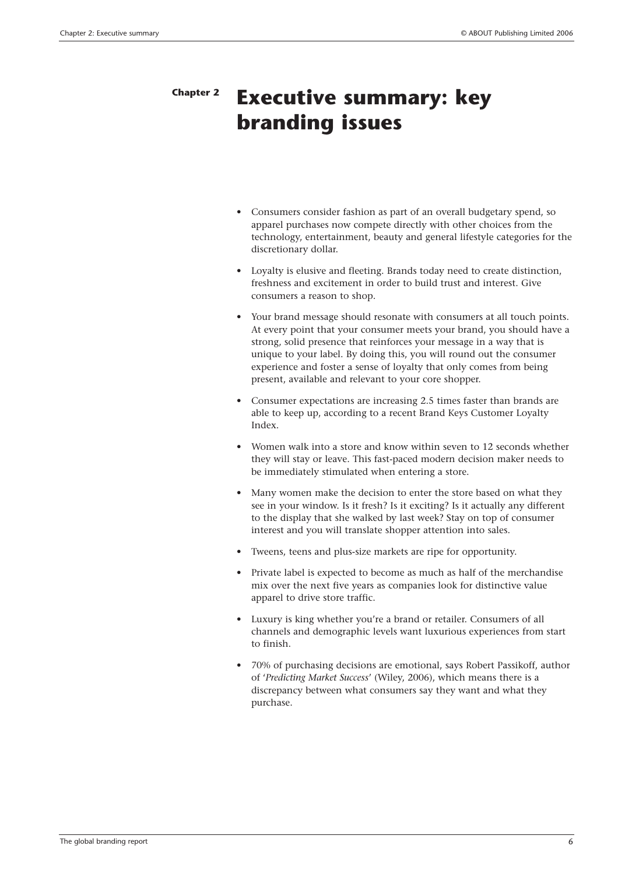### **Executive summary: key branding issues Chapter 2**

- Consumers consider fashion as part of an overall budgetary spend, so apparel purchases now compete directly with other choices from the technology, entertainment, beauty and general lifestyle categories for the discretionary dollar.
- Loyalty is elusive and fleeting. Brands today need to create distinction. freshness and excitement in order to build trust and interest. Give consumers a reason to shop.
- Your brand message should resonate with consumers at all touch points. At every point that your consumer meets your brand, you should have a strong, solid presence that reinforces your message in a way that is unique to your label. By doing this, you will round out the consumer experience and foster a sense of loyalty that only comes from being present, available and relevant to your core shopper.
- Consumer expectations are increasing 2.5 times faster than brands are able to keep up, according to a recent Brand Keys Customer Loyalty Index.
- Women walk into a store and know within seven to 12 seconds whether they will stay or leave. This fast-paced modern decision maker needs to be immediately stimulated when entering a store.
- Many women make the decision to enter the store based on what they see in your window. Is it fresh? Is it exciting? Is it actually any different to the display that she walked by last week? Stay on top of consumer interest and you will translate shopper attention into sales.
- Tweens, teens and plus-size markets are ripe for opportunity.
- Private label is expected to become as much as half of the merchandise mix over the next five years as companies look for distinctive value apparel to drive store traffic.
- Luxury is king whether you're a brand or retailer. Consumers of all channels and demographic levels want luxurious experiences from start to finish.
- 70% of purchasing decisions are emotional, says Robert Passikoff, author of '*Predicting Market Success*' (Wiley, 2006), which means there is a discrepancy between what consumers say they want and what they purchase.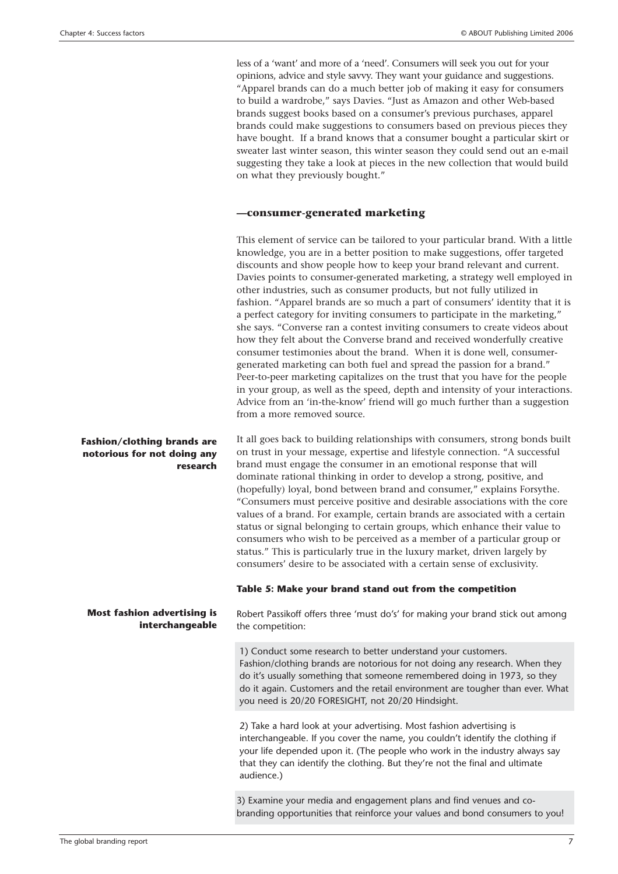less of a 'want' and more of a 'need'. Consumers will seek you out for your opinions, advice and style savvy. They want your guidance and suggestions. "Apparel brands can do a much better job of making it easy for consumers to build a wardrobe," says Davies. "Just as Amazon and other Web-based brands suggest books based on a consumer's previous purchases, apparel brands could make suggestions to consumers based on previous pieces they have bought. If a brand knows that a consumer bought a particular skirt or sweater last winter season, this winter season they could send out an e-mail suggesting they take a look at pieces in the new collection that would build on what they previously bought."

#### **—consumer-generated marketing**

This element of service can be tailored to your particular brand. With a little knowledge, you are in a better position to make suggestions, offer targeted discounts and show people how to keep your brand relevant and current. Davies points to consumer-generated marketing, a strategy well employed in other industries, such as consumer products, but not fully utilized in fashion. "Apparel brands are so much a part of consumers' identity that it is a perfect category for inviting consumers to participate in the marketing," she says. "Converse ran a contest inviting consumers to create videos about how they felt about the Converse brand and received wonderfully creative consumer testimonies about the brand. When it is done well, consumergenerated marketing can both fuel and spread the passion for a brand." Peer-to-peer marketing capitalizes on the trust that you have for the people in your group, as well as the speed, depth and intensity of your interactions. Advice from an 'in-the-know' friend will go much further than a suggestion from a more removed source.

It all goes back to building relationships with consumers, strong bonds built on trust in your message, expertise and lifestyle connection. "A successful brand must engage the consumer in an emotional response that will dominate rational thinking in order to develop a strong, positive, and (hopefully) loyal, bond between brand and consumer," explains Forsythe. "Consumers must perceive positive and desirable associations with the core values of a brand. For example, certain brands are associated with a certain status or signal belonging to certain groups, which enhance their value to consumers who wish to be perceived as a member of a particular group or status." This is particularly true in the luxury market, driven largely by consumers' desire to be associated with a certain sense of exclusivity.

#### **Table 5: Make your brand stand out from the competition**

Robert Passikoff offers three 'must do's' for making your brand stick out among the competition:

1) Conduct some research to better understand your customers. Fashion/clothing brands are notorious for not doing any research. When they do it's usually something that someone remembered doing in 1973, so they do it again. Customers and the retail environment are tougher than ever. What you need is 20/20 FORESIGHT, not 20/20 Hindsight.

2) Take a hard look at your advertising. Most fashion advertising is interchangeable. If you cover the name, you couldn't identify the clothing if your life depended upon it. (The people who work in the industry always say that they can identify the clothing. But they're not the final and ultimate audience.)

3) Examine your media and engagement plans and find venues and cobranding opportunities that reinforce your values and bond consumers to you!

#### **Fashion/clothing brands are notorious for not doing any research**

#### **Most fashion advertising is interchangeable**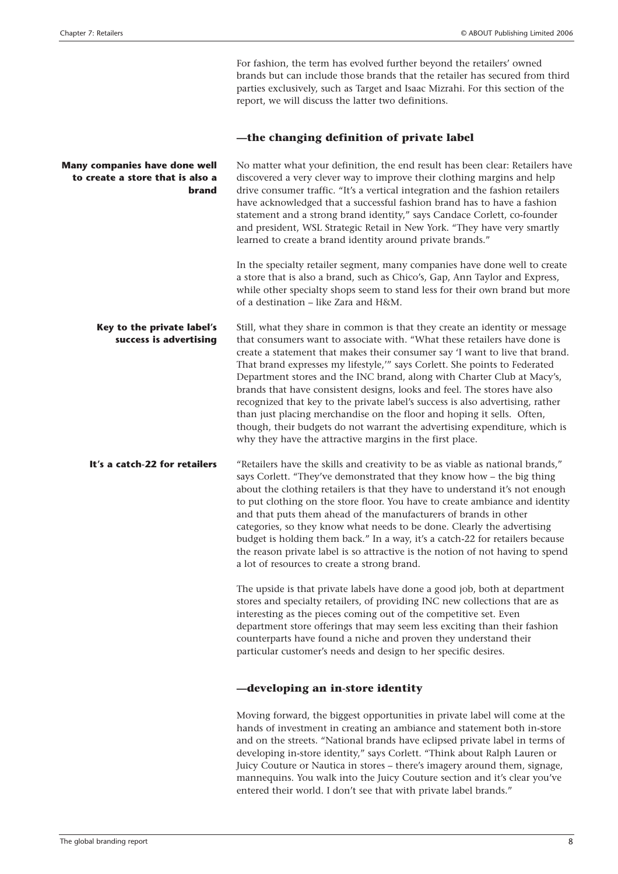For fashion, the term has evolved further beyond the retailers' owned brands but can include those brands that the retailer has secured from third parties exclusively, such as Target and Isaac Mizrahi. For this section of the report, we will discuss the latter two definitions. **—the changing definition of private label** No matter what your definition, the end result has been clear: Retailers have discovered a very clever way to improve their clothing margins and help drive consumer traffic. "It's a vertical integration and the fashion retailers have acknowledged that a successful fashion brand has to have a fashion statement and a strong brand identity," says Candace Corlett, co-founder and president, WSL Strategic Retail in New York. "They have very smartly learned to create a brand identity around private brands." In the specialty retailer segment, many companies have done well to create a store that is also a brand, such as Chico's, Gap, Ann Taylor and Express, while other specialty shops seem to stand less for their own brand but more of a destination – like Zara and H&M. Still, what they share in common is that they create an identity or message that consumers want to associate with. "What these retailers have done is create a statement that makes their consumer say 'I want to live that brand. That brand expresses my lifestyle,'" says Corlett. She points to Federated Department stores and the INC brand, along with Charter Club at Macy's, brands that have consistent designs, looks and feel. The stores have also recognized that key to the private label's success is also advertising, rather than just placing merchandise on the floor and hoping it sells. Often, though, their budgets do not warrant the advertising expenditure, which is why they have the attractive margins in the first place. "Retailers have the skills and creativity to be as viable as national brands," says Corlett. "They've demonstrated that they know how – the big thing about the clothing retailers is that they have to understand it's not enough to put clothing on the store floor. You have to create ambiance and identity and that puts them ahead of the manufacturers of brands in other categories, so they know what needs to be done. Clearly the advertising budget is holding them back." In a way, it's a catch-22 for retailers because the reason private label is so attractive is the notion of not having to spend a lot of resources to create a strong brand. The upside is that private labels have done a good job, both at department stores and specialty retailers, of providing INC new collections that are as interesting as the pieces coming out of the competitive set. Even department store offerings that may seem less exciting than their fashion counterparts have found a niche and proven they understand their particular customer's needs and design to her specific desires. **Many companies have done well to create a store that is also a brand Key to the private label's success is advertising It's a catch-22 for retailers**

#### **—developing an in-store identity**

Moving forward, the biggest opportunities in private label will come at the hands of investment in creating an ambiance and statement both in-store and on the streets. "National brands have eclipsed private label in terms of developing in-store identity," says Corlett. "Think about Ralph Lauren or Juicy Couture or Nautica in stores – there's imagery around them, signage, mannequins. You walk into the Juicy Couture section and it's clear you've entered their world. I don't see that with private label brands."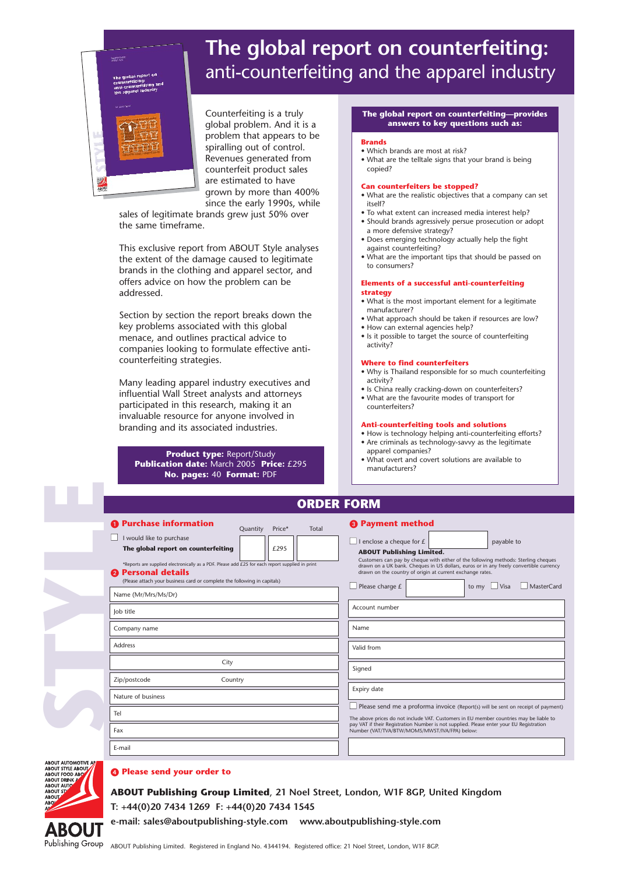

## **The global report on counterfeiting:** anti-counterfeiting and the apparel industry

Counterfeiting is a truly global problem. And it is a problem that appears to be spiralling out of control. Revenues generated from counterfeit product sales are estimated to have grown by more than 400% since the early 1990s, while

sales of legitimate brands grew just 50% over the same timeframe.

This exclusive report from ABOUT Style analyses the extent of the damage caused to legitimate brands in the clothing and apparel sector, and offers advice on how the problem can be addressed.

Section by section the report breaks down the key problems associated with this global menace, and outlines practical advice to companies looking to formulate effective anticounterfeiting strategies.

Many leading apparel industry executives and influential Wall Street analysts and attorneys participated in this research, making it an invaluable resource for anyone involved in branding and its associated industries.

#### **Product type:** Report/Study **Publication date:** March 2005 **Price:** £295 **No. pages:** 40 **Format:** PDF

#### **The global report on counterfeiting—provides answers to key questions such as:**

#### **Brands**

- Which brands are most at risk?
- What are the telltale signs that your brand is being copied?

#### **Can counterfeiters be stopped?**

- What are the realistic objectives that a company can set itself?
- To what extent can increased media interest help?
- Should brands agressively persue prosecution or adopt a more defensive strategy?
- Does emerging technology actually help the fight against counterfeiting?
- What are the important tips that should be passed on to consumers?

#### **Elements of a successful anti-counterfeiting strategy**

- What is the most important element for a legitimate manufacturer?
- What approach should be taken if resources are low? • How can external agencies help?
- Is it possible to target the source of counterfeiting activity?

#### **Where to find counterfeiters**

- Why is Thailand responsible for so much counterfeiting activity?
- Is China really cracking-down on counterfeiters? • What are the favourite modes of transport for counterfeiters?

#### **Anti-counterfeiting tools and solutions**

- How is technology helping anti-counterfeiting efforts? • Are criminals as technology-savvy as the legitimate
- apparel companies? • What overt and covert solutions are available to manufacturers?

| UNDEN FUNIT                                                                                                                                                                                                                                                                                                |                                                                                                                                                                                                                                                                                                                                                                                    |
|------------------------------------------------------------------------------------------------------------------------------------------------------------------------------------------------------------------------------------------------------------------------------------------------------------|------------------------------------------------------------------------------------------------------------------------------------------------------------------------------------------------------------------------------------------------------------------------------------------------------------------------------------------------------------------------------------|
| <b>O</b> Purchase information<br>Price*<br>Quantity<br>Total                                                                                                                                                                                                                                               | <sup>8</sup> Payment method                                                                                                                                                                                                                                                                                                                                                        |
| I would like to purchase<br>The global report on counterfeiting<br>£295<br>*Reports are supplied electronically as a PDF. Please add £25 for each report supplied in print<br><b>2</b> Personal details<br>(Please attach your business card or complete the following in capitals)<br>Name (Mr/Mrs/Ms/Dr) | I enclose a cheque for $E$<br>payable to<br><b>ABOUT Publishing Limited.</b><br>Customers can pay by cheque with either of the following methods: Sterling cheques<br>drawn on a UK bank. Cheques in US dollars, euros or in any freely convertible currency<br>drawn on the country of origin at current exchange rates.<br>MasterCard<br>Please charge £<br>Visa<br>to my $\Box$ |
| Job title                                                                                                                                                                                                                                                                                                  | Account number                                                                                                                                                                                                                                                                                                                                                                     |
| Company name                                                                                                                                                                                                                                                                                               | Name                                                                                                                                                                                                                                                                                                                                                                               |
| <b>Address</b>                                                                                                                                                                                                                                                                                             | Valid from                                                                                                                                                                                                                                                                                                                                                                         |
| City                                                                                                                                                                                                                                                                                                       | Signed                                                                                                                                                                                                                                                                                                                                                                             |
| Zip/postcode<br>Country                                                                                                                                                                                                                                                                                    |                                                                                                                                                                                                                                                                                                                                                                                    |
| Nature of business                                                                                                                                                                                                                                                                                         | Expiry date<br>Please send me a proforma invoice (Report(s) will be sent on receipt of payment)<br>The above prices do not include VAT. Customers in EU member countries may be liable to<br>pay VAT if their Registration Number is not supplied. Please enter your EU Registration<br>Number (VAT/TVA/BTW/MOMS/MWST/IVA/FPA) below:                                              |
| Tel                                                                                                                                                                                                                                                                                                        |                                                                                                                                                                                                                                                                                                                                                                                    |
| Fax                                                                                                                                                                                                                                                                                                        |                                                                                                                                                                                                                                                                                                                                                                                    |
| E-mail                                                                                                                                                                                                                                                                                                     |                                                                                                                                                                                                                                                                                                                                                                                    |

**ORDER FORM**



**STYLE**

#### **Please send your order to**

**ABOUT Publishing Group Limited**, **21 Noel Street, London, W1F 8GP, United Kingdom T: +44(0)20 7434 1269 F: +44(0)20 7434 1545**

**e-mail: sales@aboutpublishing-style.com www.aboutpublishing-style.com**